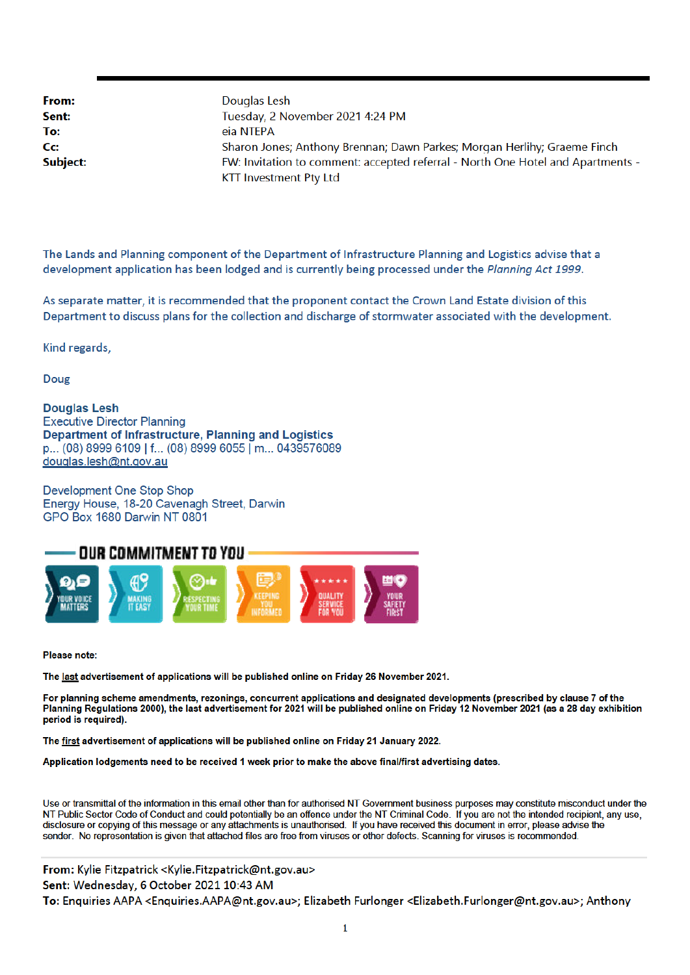From: Sent: To: Cc: Subject: Douglas Lesh Tuesday, 2 November 2021 4:24 PM eia NTEPA Sharon Jones; Anthony Brennan; Dawn Parkes; Morgan Herlihy; Graeme Finch FW: Invitation to comment: accepted referral - North One Hotel and Apartments -**KTT Investment Pty Ltd** 

The Lands and Planning component of the Department of Infrastructure Planning and Logistics advise that a development application has been lodged and is currently being processed under the Planning Act 1999.

As separate matter, it is recommended that the proponent contact the Crown Land Estate division of this Department to discuss plans for the collection and discharge of stormwater associated with the development.

Kind regards,

Doug

**Douglas Lesh Executive Director Planning** Department of Infrastructure, Planning and Logistics p... (08) 8999 6109 | f... (08) 8999 6055 | m... 0439576089 douglas.lesh@nt.gov.au

Development One Stop Shop Energy House, 18-20 Cavenagh Street, Darwin GPO Box 1680 Darwin NT 0801



Please note:

The last advertisement of applications will be published online on Friday 26 November 2021.

For planning scheme amendments, rezonings, concurrent applications and designated developments (prescribed by clause 7 of the Planning Regulations 2000), the last advertisement for 2021 will be published online on Friday 12 November 2021 (as a 28 day exhibition period is required).

The first advertisement of applications will be published online on Friday 21 January 2022.

Application lodgements need to be received 1 week prior to make the above final/first advertising dates.

Use or transmittal of the information in this email other than for authorised NT Government business purposes may constitute misconduct under the NT Public Sector Code of Conduct and could potentially be an offence under the NT Criminal Code. If you are not the intended recipient, any use, disclosure or copying of this message or any attachments is unauthorised. If you have received this document in error, please advise the sender. No representation is given that attached files are free from viruses or other defects. Scanning for viruses is recommended.

From: Kylie Fitzpatrick < Kylie. Fitzpatrick@nt.gov.au> Sent: Wednesday, 6 October 2021 10:43 AM To: Enquiries AAPA <Enquiries.AAPA@nt.gov.au>; Elizabeth Furlonger <Elizabeth.Furlonger@nt.gov.au>; Anthony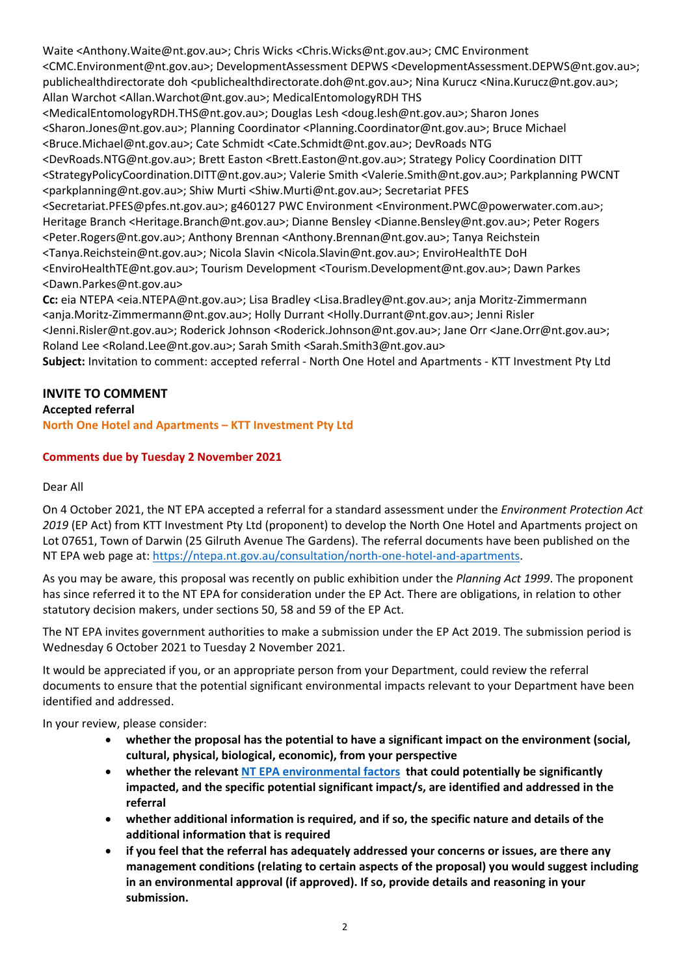Waite <Anthony.Waite@nt.gov.au>; Chris Wicks <Chris.Wicks@nt.gov.au>; CMC Environment <CMC.Environment@nt.gov.au>; DevelopmentAssessment DEPWS <DevelopmentAssessment.DEPWS@nt.gov.au>; publichealthdirectorate doh <publichealthdirectorate.doh@nt.gov.au>; Nina Kurucz <Nina.Kurucz@nt.gov.au>; Allan Warchot <Allan.Warchot@nt.gov.au>; MedicalEntomologyRDH THS

<MedicalEntomologyRDH.THS@nt.gov.au>; Douglas Lesh <doug.lesh@nt.gov.au>; Sharon Jones <Sharon.Jones@nt.gov.au>; Planning Coordinator <Planning.Coordinator@nt.gov.au>; Bruce Michael <Bruce.Michael@nt.gov.au>; Cate Schmidt <Cate.Schmidt@nt.gov.au>; DevRoads NTG

<DevRoads.NTG@nt.gov.au>; Brett Easton <Brett.Easton@nt.gov.au>; Strategy Policy Coordination DITT <StrategyPolicyCoordination.DITT@nt.gov.au>; Valerie Smith <Valerie.Smith@nt.gov.au>; Parkplanning PWCNT <parkplanning@nt.gov.au>; Shiw Murti <Shiw.Murti@nt.gov.au>; Secretariat PFES

<Secretariat.PFES@pfes.nt.gov.au>; g460127 PWC Environment <Environment.PWC@powerwater.com.au>; Heritage Branch <Heritage.Branch@nt.gov.au>; Dianne Bensley <Dianne.Bensley@nt.gov.au>; Peter Rogers <Peter.Rogers@nt.gov.au>; Anthony Brennan <Anthony.Brennan@nt.gov.au>; Tanya Reichstein <Tanya.Reichstein@nt.gov.au>; Nicola Slavin <Nicola.Slavin@nt.gov.au>; EnviroHealthTE DoH <EnviroHealthTE@nt.gov.au>; Tourism Development <Tourism.Development@nt.gov.au>; Dawn Parkes <Dawn.Parkes@nt.gov.au>

**Cc:** eia NTEPA <eia.NTEPA@nt.gov.au>; Lisa Bradley <Lisa.Bradley@nt.gov.au>; anja Moritz‐Zimmermann <anja.Moritz‐Zimmermann@nt.gov.au>; Holly Durrant <Holly.Durrant@nt.gov.au>; Jenni Risler <Jenni.Risler@nt.gov.au>; Roderick Johnson <Roderick.Johnson@nt.gov.au>; Jane Orr <Jane.Orr@nt.gov.au>; Roland Lee <Roland.Lee@nt.gov.au>; Sarah Smith <Sarah.Smith3@nt.gov.au>

**Subject:** Invitation to comment: accepted referral ‐ North One Hotel and Apartments ‐ KTT Investment Pty Ltd

# **INVITE TO COMMENT**

# **Accepted referral**

**North One Hotel and Apartments – KTT Investment Pty Ltd**

# **Comments due by Tuesday 2 November 2021**

## Dear All

On 4 October 2021, the NT EPA accepted a referral for a standard assessment under the *Environment Protection Act 2019* (EP Act) from KTT Investment Pty Ltd (proponent) to develop the North One Hotel and Apartments project on Lot 07651, Town of Darwin (25 Gilruth Avenue The Gardens). The referral documents have been published on the NT EPA web page at: https://ntepa.nt.gov.au/consultation/north‐one‐hotel‐and‐apartments.

As you may be aware, this proposal was recently on public exhibition under the *Planning Act 1999*. The proponent has since referred it to the NT EPA for consideration under the EP Act. There are obligations, in relation to other statutory decision makers, under sections 50, 58 and 59 of the EP Act.

The NT EPA invites government authorities to make a submission under the EP Act 2019. The submission period is Wednesday 6 October 2021 to Tuesday 2 November 2021.

It would be appreciated if you, or an appropriate person from your Department, could review the referral documents to ensure that the potential significant environmental impacts relevant to your Department have been identified and addressed.

In your review, please consider:

- **whether the proposal has the potential to have a significant impact on the environment (social, cultural, physical, biological, economic), from your perspective**
- **whether the relevant NT EPA environmental factors that could potentially be significantly impacted, and the specific potential significant impact/s, are identified and addressed in the referral**
- **whether additional information is required, and if so, the specific nature and details of the additional information that is required**
- **if you feel that the referral has adequately addressed your concerns or issues, are there any management conditions (relating to certain aspects of the proposal) you would suggest including in an environmental approval (if approved). If so, provide details and reasoning in your submission.**